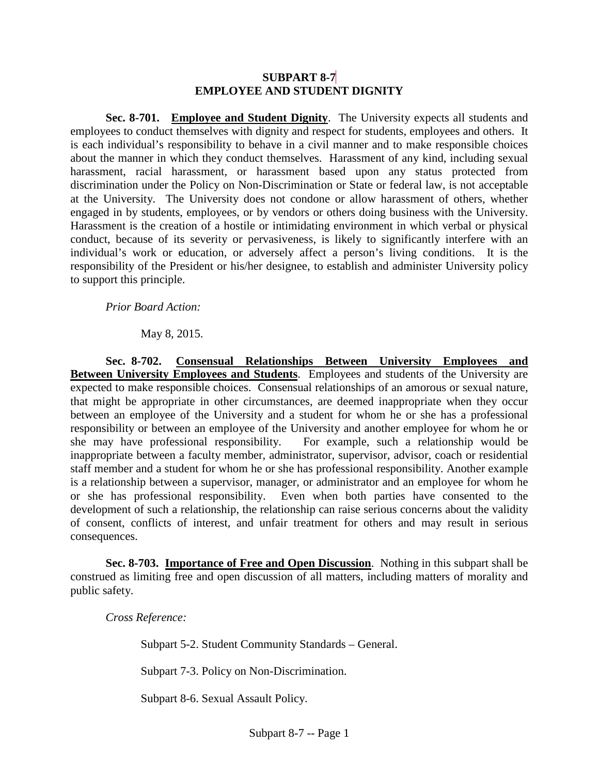## **SUBPART 8-7 EMPLOYEE AND STUDENT DIGNITY**

**Sec. 8-701. Employee and Student Dignity**. The University expects all students and employees to conduct themselves with dignity and respect for students, employees and others. It is each individual's responsibility to behave in a civil manner and to make responsible choices about the manner in which they conduct themselves. Harassment of any kind, including sexual harassment, racial harassment, or harassment based upon any status protected from discrimination under the Policy on Non-Discrimination or State or federal law, is not acceptable at the University. The University does not condone or allow harassment of others, whether engaged in by students, employees, or by vendors or others doing business with the University. Harassment is the creation of a hostile or intimidating environment in which verbal or physical conduct, because of its severity or pervasiveness, is likely to significantly interfere with an individual's work or education, or adversely affect a person's living conditions. It is the responsibility of the President or his/her designee, to establish and administer University policy to support this principle.

*Prior Board Action:*

May 8, 2015.

**Sec. 8-702. Consensual Relationships Between University Employees and Between University Employees and Students**. Employees and students of the University are expected to make responsible choices. Consensual relationships of an amorous or sexual nature, that might be appropriate in other circumstances, are deemed inappropriate when they occur between an employee of the University and a student for whom he or she has a professional responsibility or between an employee of the University and another employee for whom he or she may have professional responsibility. For example, such a relationship would be inappropriate between a faculty member, administrator, supervisor, advisor, coach or residential staff member and a student for whom he or she has professional responsibility. Another example is a relationship between a supervisor, manager, or administrator and an employee for whom he<br>or she has professional responsibility. Even when both parties have consented to the Even when both parties have consented to the development of such a relationship, the relationship can raise serious concerns about the validity of consent, conflicts of interest, and unfair treatment for others and may result in serious consequences.

**Sec. 8-703. Importance of Free and Open Discussion**. Nothing in this subpart shall be construed as limiting free and open discussion of all matters, including matters of morality and public safety.

*Cross Reference:*

Subpart 5-2. Student Community Standards – General.

Subpart 7-3. Policy on Non-Discrimination.

Subpart 8-6. Sexual Assault Policy.